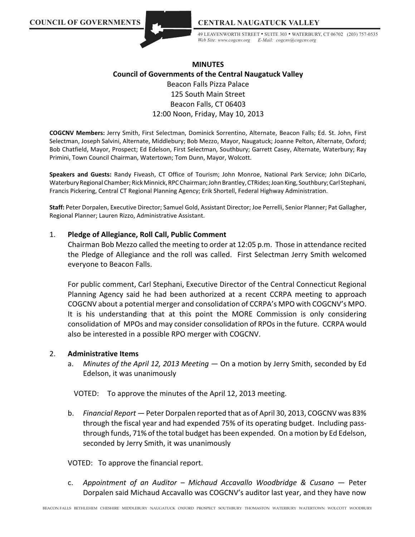

49 LEAVENWORTH STREET • SUITE 303 • WATERBURY, CT 06702 (203) 757-0535 *Web Site: www.cogcnv.org E-Mail: cogcnv@cogcnv.org*

# **MINUTES Council of Governments of the Central Naugatuck Valley**

Beacon Falls Pizza Palace 125 South Main Street Beacon Falls, CT 06403 12:00 Noon, Friday, May 10, 2013

**COGCNV Members:** Jerry Smith, First Selectman, Dominick Sorrentino, Alternate, Beacon Falls; Ed. St. John, First Selectman, Joseph Salvini, Alternate, Middlebury; Bob Mezzo, Mayor, Naugatuck; Joanne Pelton, Alternate, Oxford; Bob Chatfield, Mayor, Prospect; Ed Edelson, First Selectman, Southbury; Garrett Casey, Alternate, Waterbury; Ray Primini, Town Council Chairman, Watertown; Tom Dunn, Mayor, Wolcott.

**Speakers and Guests:** Randy Fiveash, CT Office of Tourism; John Monroe, National Park Service; John DiCarlo, Waterbury Regional Chamber; Rick Minnick, RPC Chairman; John Brantley, CTRides; Joan King, Southbury; Carl Stephani, Francis Pickering, Central CT Regional Planning Agency; Erik Shortell, Federal Highway Administration.

**Staff:** Peter Dorpalen, Executive Director; Samuel Gold, Assistant Director; Joe Perrelli, Senior Planner; Pat Gallagher, Regional Planner; Lauren Rizzo, Administrative Assistant.

#### 1. **Pledge of Allegiance, Roll Call, Public Comment**

Chairman Bob Mezzo called the meeting to order at 12:05 p.m. Those in attendance recited the Pledge of Allegiance and the roll was called. First Selectman Jerry Smith welcomed everyone to Beacon Falls.

For public comment, Carl Stephani, Executive Director of the Central Connecticut Regional Planning Agency said he had been authorized at a recent CCRPA meeting to approach COGCNV about a potential merger and consolidation of CCRPA's MPO with COGCNV's MPO. It is his understanding that at this point the MORE Commission is only considering consolidation of MPOs and may consider consolidation of RPOsin the future. CCRPA would also be interested in a possible RPO merger with COGCNV.

#### 2. **Administrative Items**

a. *Minutes of the April 12, 2013 Meeting* — On a motion by Jerry Smith, seconded by Ed Edelson, it was unanimously

VOTED: To approve the minutes of the April 12, 2013 meeting.

b. *Financial Report* — Peter Dorpalen reported that as of April 30, 2013, COGCNV was 83% through the fiscal year and had expended 75% of its operating budget. Including passthrough funds, 71% of the total budget has been expended. On a motion by Ed Edelson, seconded by Jerry Smith, it was unanimously

VOTED: To approve the financial report.

c. *Appointment of an Auditor – Michaud Accavallo Woodbridge & Cusano* — Peter Dorpalen said Michaud Accavallo was COGCNV's auditor last year, and they have now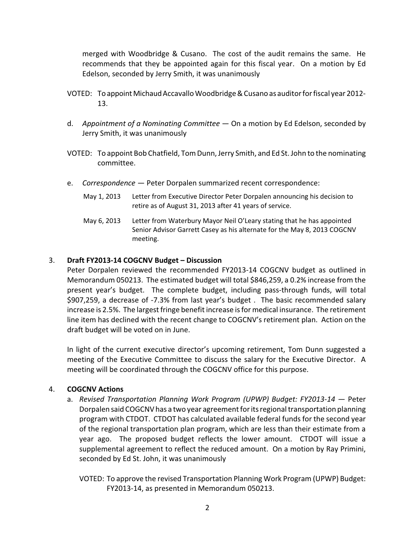merged with Woodbridge & Cusano. The cost of the audit remains the same. He recommends that they be appointed again for this fiscal year. On a motion by Ed Edelson, seconded by Jerry Smith, it was unanimously

- VOTED: To appointMichaudAccavallo Woodbridge & Cusano as auditor for fiscal year 2012- 13.
- d. *Appointment of a Nominating Committee*  On a motion by Ed Edelson, seconded by Jerry Smith, it was unanimously
- VOTED: To appoint Bob Chatfield, Tom Dunn, Jerry Smith, and Ed St. John to the nominating committee.
- e. *Correspondence* Peter Dorpalen summarized recent correspondence:
	- May 1, 2013 Letter from Executive Director Peter Dorpalen announcing his decision to retire as of August 31, 2013 after 41 years of service.
	- May 6, 2013 Letter from Waterbury Mayor Neil O'Leary stating that he has appointed Senior Advisor Garrett Casey as his alternate for the May 8, 2013 COGCNV meeting.

# 3. **Draft FY2013-14 COGCNV Budget – Discussion**

Peter Dorpalen reviewed the recommended FY2013-14 COGCNV budget as outlined in Memorandum 050213. The estimated budget will total \$846,259, a 0.2% increase from the present year's budget. The complete budget, including pass-through funds, will total \$907,259, a decrease of -7.3% from last year's budget . The basic recommended salary increase is 2.5%. The largest fringe benefit increase is for medical insurance. The retirement line item has declined with the recent change to COGCNV's retirement plan. Action on the draft budget will be voted on in June.

In light of the current executive director's upcoming retirement, Tom Dunn suggested a meeting of the Executive Committee to discuss the salary for the Executive Director. A meeting will be coordinated through the COGCNV office for this purpose.

# 4. **COGCNV Actions**

- a. *Revised Transportation Planning Work Program (UPWP) Budget: FY2013-14* Peter Dorpalen said COGCNV has a two year agreement for its regional transportation planning program with CTDOT. CTDOT has calculated available federal funds for the second year of the regional transportation plan program, which are less than their estimate from a year ago. The proposed budget reflects the lower amount. CTDOT will issue a supplemental agreement to reflect the reduced amount. On a motion by Ray Primini, seconded by Ed St. John, it was unanimously
	- VOTED: To approve the revised Transportation Planning Work Program (UPWP) Budget: FY2013-14, as presented in Memorandum 050213.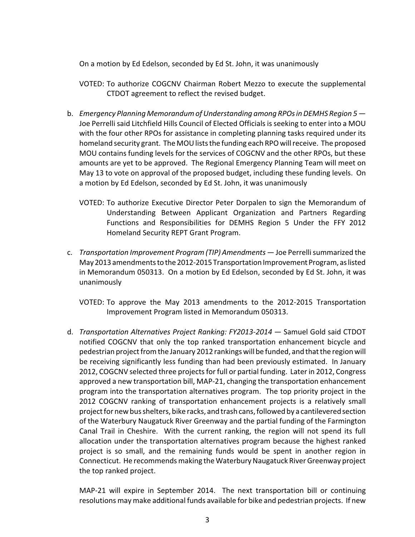On a motion by Ed Edelson, seconded by Ed St. John, it was unanimously

- VOTED: To authorize COGCNV Chairman Robert Mezzo to execute the supplemental CTDOT agreement to reflect the revised budget.
- b. *Emergency Planning Memorandum of Understanding among RPOs in DEMHS Region 5 —* Joe Perrelli said Litchfield Hills Council of Elected Officials is seeking to enter into a MOU with the four other RPOs for assistance in completing planning tasks required under its homeland security grant. The MOU lists the funding each RPO will receive. The proposed MOU contains funding levels for the services of COGCNV and the other RPOs, but these amounts are yet to be approved. The Regional Emergency Planning Team will meet on May 13 to vote on approval of the proposed budget, including these funding levels. On a motion by Ed Edelson, seconded by Ed St. John, it was unanimously
	- VOTED: To authorize Executive Director Peter Dorpalen to sign the Memorandum of Understanding Between Applicant Organization and Partners Regarding Functions and Responsibilities for DEMHS Region 5 Under the FFY 2012 Homeland Security REPT Grant Program.
- c. *Transportation Improvement Program (TIP) Amendments* Joe Perrelli summarized the May 2013 amendments to the 2012-2015 Transportation Improvement Program, as listed in Memorandum 050313. On a motion by Ed Edelson, seconded by Ed St. John, it was unanimously
	- VOTED: To approve the May 2013 amendments to the 2012-2015 Transportation Improvement Program listed in Memorandum 050313.
- d. *Transportation Alternatives Project Ranking: FY2013-2014*  Samuel Gold said CTDOT notified COGCNV that only the top ranked transportation enhancement bicycle and pedestrian project from the January 2012 rankings will be funded, and that the region will be receiving significantly less funding than had been previously estimated. In January 2012, COGCNV selected three projects for full or partial funding. Later in 2012, Congress approved a new transportation bill, MAP-21, changing the transportation enhancement program into the transportation alternatives program. The top priority project in the 2012 COGCNV ranking of transportation enhancement projects is a relatively small project for new bus shelters, bike racks, and trash cans, followed by a cantilevered section of the Waterbury Naugatuck River Greenway and the partial funding of the Farmington Canal Trail in Cheshire. With the current ranking, the region will not spend its full allocation under the transportation alternatives program because the highest ranked project is so small, and the remaining funds would be spent in another region in Connecticut. He recommends making the Waterbury Naugatuck River Greenway project the top ranked project.

MAP-21 will expire in September 2014. The next transportation bill or continuing resolutions may make additional funds available for bike and pedestrian projects. If new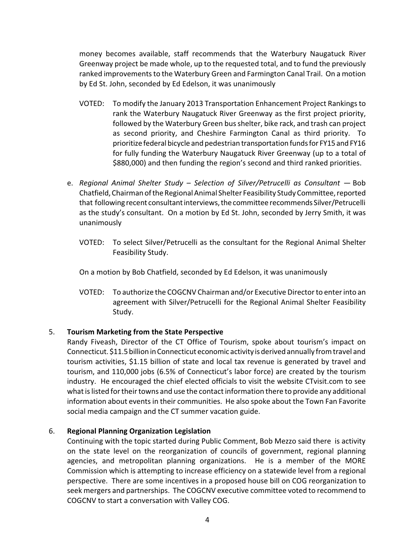money becomes available, staff recommends that the Waterbury Naugatuck River Greenway project be made whole, up to the requested total, and to fund the previously ranked improvements to the Waterbury Green and Farmington Canal Trail. On a motion by Ed St. John, seconded by Ed Edelson, it was unanimously

- VOTED: To modify the January 2013 Transportation Enhancement Project Rankings to rank the Waterbury Naugatuck River Greenway as the first project priority, followed by the Waterbury Green bus shelter, bike rack, and trash can project as second priority, and Cheshire Farmington Canal as third priority. To prioritize federal bicycle and pedestrian transportation funds for FY15 and FY16 for fully funding the Waterbury Naugatuck River Greenway (up to a total of \$880,000) and then funding the region's second and third ranked priorities.
- e. *Regional Animal Shelter Study – Selection of Silver/Petrucelli as Consultant* Bob Chatfield,Chairman of the Regional Animal Shelter Feasibility Study Committee,reported that following recent consultant interviews, the committee recommends Silver/Petrucelli as the study's consultant. On a motion by Ed St. John, seconded by Jerry Smith, it was unanimously
	- VOTED: To select Silver/Petrucelli as the consultant for the Regional Animal Shelter Feasibility Study.

On a motion by Bob Chatfield, seconded by Ed Edelson, it was unanimously

VOTED: To authorize the COGCNV Chairman and/or Executive Director to enter into an agreement with Silver/Petrucelli for the Regional Animal Shelter Feasibility Study.

### 5. **Tourism Marketing from the State Perspective**

Randy Fiveash, Director of the CT Office of Tourism, spoke about tourism's impact on Connecticut. \$11.5 billion in Connecticut economic activity is derived annually from travel and tourism activities, \$1.15 billion of state and local tax revenue is generated by travel and tourism, and 110,000 jobs (6.5% of Connecticut's labor force) are created by the tourism industry. He encouraged the chief elected officials to visit the website CTvisit.com to see what is listed for their towns and use the contact information there to provide any additional information about events in their communities. He also spoke about the Town Fan Favorite social media campaign and the CT summer vacation guide.

### 6. **Regional Planning Organization Legislation**

Continuing with the topic started during Public Comment, Bob Mezzo said there is activity on the state level on the reorganization of councils of government, regional planning agencies, and metropolitan planning organizations. He is a member of the MORE Commission which is attempting to increase efficiency on a statewide level from a regional perspective. There are some incentives in a proposed house bill on COG reorganization to seek mergers and partnerships. The COGCNV executive committee voted to recommend to COGCNV to start a conversation with Valley COG.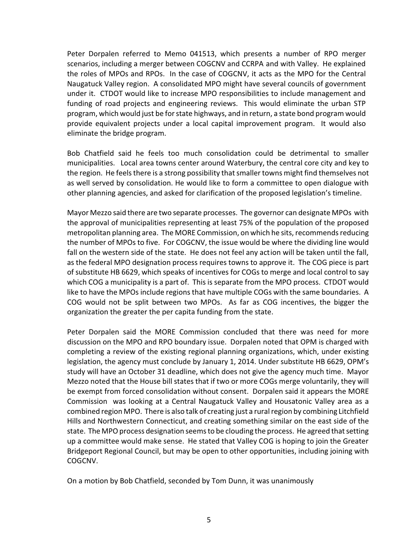Peter Dorpalen referred to Memo 041513, which presents a number of RPO merger scenarios, including a merger between COGCNV and CCRPA and with Valley. He explained the roles of MPOs and RPOs. In the case of COGCNV, it acts as the MPO for the Central Naugatuck Valley region. A consolidated MPO might have several councils of government under it. CTDOT would like to increase MPO responsibilities to include management and funding of road projects and engineering reviews. This would eliminate the urban STP program, which would just be for state highways, and in return, a state bond program would provide equivalent projects under a local capital improvement program. It would also eliminate the bridge program.

Bob Chatfield said he feels too much consolidation could be detrimental to smaller municipalities. Local area towns center around Waterbury, the central core city and key to the region. He feels there is a strong possibility that smaller towns might find themselves not as well served by consolidation. He would like to form a committee to open dialogue with other planning agencies, and asked for clarification of the proposed legislation's timeline.

Mayor Mezzo said there are two separate processes. The governor can designate MPOs with the approval of municipalities representing at least 75% of the population of the proposed metropolitan planning area. The MORE Commission, on which he sits, recommends reducing the number of MPOs to five. For COGCNV, the issue would be where the dividing line would fall on the western side of the state. He does not feel any action will be taken until the fall, as the federal MPO designation process requires towns to approve it. The COG piece is part of substitute HB 6629, which speaks of incentives for COGs to merge and local control to say which COG a municipality is a part of. This is separate from the MPO process. CTDOT would like to have the MPOs include regions that have multiple COGs with the same boundaries. A COG would not be split between two MPOs. As far as COG incentives, the bigger the organization the greater the per capita funding from the state.

Peter Dorpalen said the MORE Commission concluded that there was need for more discussion on the MPO and RPO boundary issue. Dorpalen noted that OPM is charged with completing a review of the existing regional planning organizations, which, under existing legislation, the agency must conclude by January 1, 2014. Under substitute HB 6629, OPM's study will have an October 31 deadline, which does not give the agency much time. Mayor Mezzo noted that the House bill states that if two or more COGs merge voluntarily, they will be exempt from forced consolidation without consent. Dorpalen said it appears the MORE Commission was looking at a Central Naugatuck Valley and Housatonic Valley area as a combined region MPO. There is also talk of creating just a rural region by combining Litchfield Hills and Northwestern Connecticut, and creating something similar on the east side of the state. The MPO process designation seems to be clouding the process. He agreed that setting up a committee would make sense. He stated that Valley COG is hoping to join the Greater Bridgeport Regional Council, but may be open to other opportunities, including joining with COGCNV.

On a motion by Bob Chatfield, seconded by Tom Dunn, it was unanimously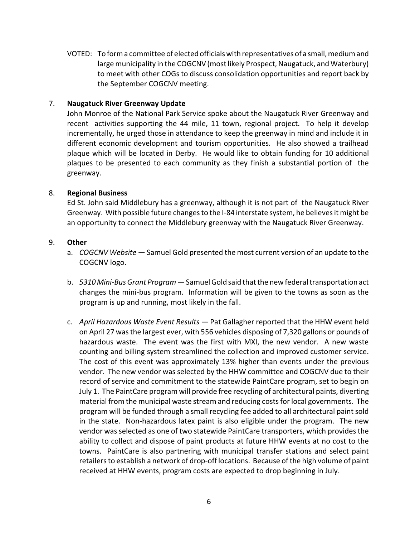VOTED: To form a committee of elected officials with representatives of a small,medium and large municipality in the COGCNV (most likely Prospect, Naugatuck, and Waterbury) to meet with other COGs to discuss consolidation opportunities and report back by the September COGCNV meeting.

### 7. **Naugatuck River Greenway Update**

John Monroe of the National Park Service spoke about the Naugatuck River Greenway and recent activities supporting the 44 mile, 11 town, regional project. To help it develop incrementally, he urged those in attendance to keep the greenway in mind and include it in different economic development and tourism opportunities. He also showed a trailhead plaque which will be located in Derby. He would like to obtain funding for 10 additional plaques to be presented to each community as they finish a substantial portion of the greenway.

### 8. **Regional Business**

Ed St. John said Middlebury has a greenway, although it is not part of the Naugatuck River Greenway. With possible future changes to the I-84 interstate system, he believes it might be an opportunity to connect the Middlebury greenway with the Naugatuck River Greenway.

# 9. **Other**

- a. *COGCNV Website*  Samuel Gold presented the most current version of an update to the COGCNV logo.
- b. *5310 Mini-Bus Grant Program*  Samuel Gold said that the new federal transportation act changes the mini-bus program. Information will be given to the towns as soon as the program is up and running, most likely in the fall.
- c. *April Hazardous Waste Event Results*  Pat Gallagher reported that the HHW event held on April 27 was the largest ever, with 556 vehicles disposing of 7,320 gallons or pounds of hazardous waste. The event was the first with MXI, the new vendor. A new waste counting and billing system streamlined the collection and improved customer service. The cost of this event was approximately 13% higher than events under the previous vendor. The new vendor was selected by the HHW committee and COGCNV due to their record of service and commitment to the statewide PaintCare program, set to begin on July 1. The PaintCare program will provide free recycling of architectural paints, diverting material from the municipal waste stream and reducing costs for local governments. The program will be funded through a small recycling fee added to all architectural paint sold in the state. Non-hazardous latex paint is also eligible under the program. The new vendor was selected as one of two statewide PaintCare transporters, which provides the ability to collect and dispose of paint products at future HHW events at no cost to the towns. PaintCare is also partnering with municipal transfer stations and select paint retailers to establish a network of drop-off locations. Because of the high volume of paint received at HHW events, program costs are expected to drop beginning in July.